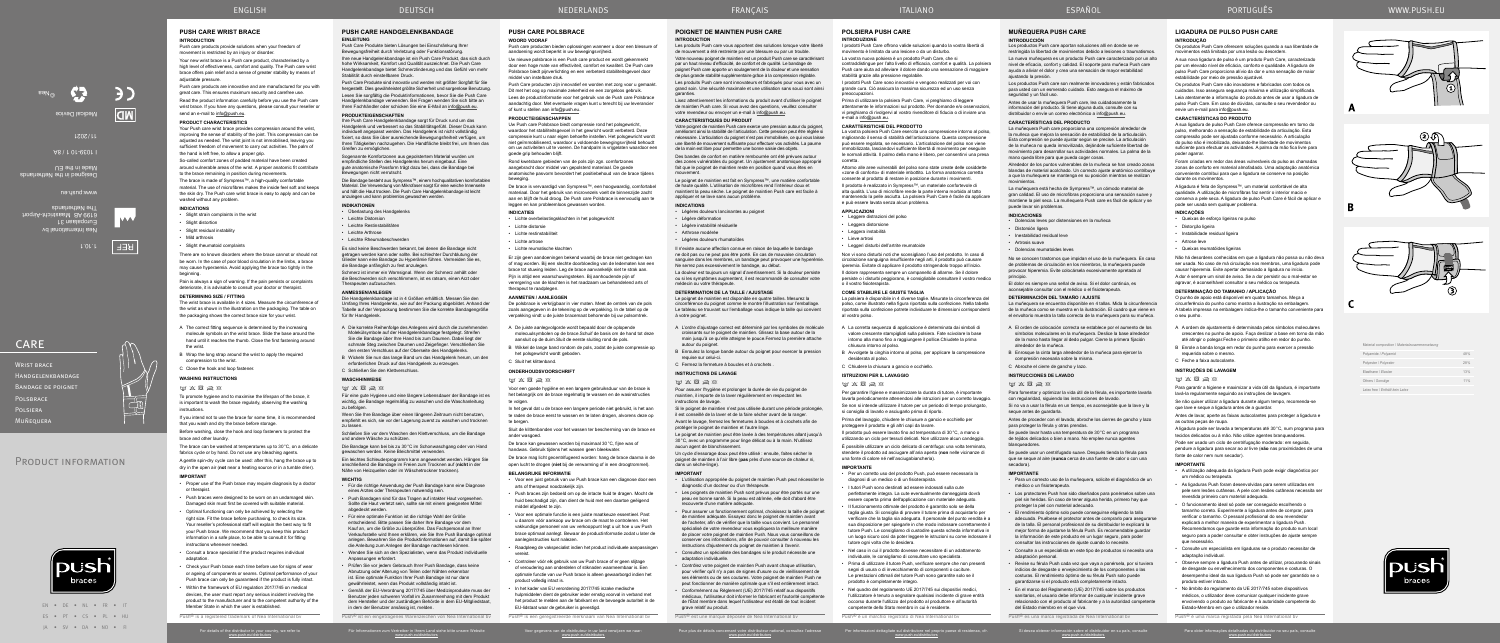EN • DE • NL • FR • IT ES • PT • CS • PL • HU JA • SV • DA • NO • FI

PRODUCT INFORMATION

For details of the distributor in your country, we refer to www.push.eu/distributors

Für Informationen zum Vertreiber in Ihrem Land siehe bitte unsere Website www.push.eu/distributors Voor gegevens van de distributeur in uw land verwijzen we naar:

www.push.eu/distributors

Push<sup>®</sup> is een geregistreerde merknaam van Nea International bv

www.push.eu/distributors

Per informazioni dettagliate sul distributore nel proprio paese di residenza, cfr. www.push.eu/distributors

Si desea obtener información sobre el distribuidor en su país, consulte www.push.eu/distributors

Push<sup>®</sup> es una marca registrada de Nea International b

Para obter informações detalhadas do distribuidor no seu país, consulte www.push.eu/distributors

# **POIGNET DE MAINTIEN PUSH CARE**

# **INTRODUCTION**

Les produits Push care vous apportent des solutions lorsque votre liberté de mouvement a été restreinte par une blessure ou par un trouble. Votre nouveau poignet de maintien est un produit Push care se caractérisant par un haut niveau d'efficacité, de confort et de qualité. Le bandage de poignet Push care apporte un soulagement de la douleur et une sensation de plus grande stabilité supplémentaire grâce à la compression réglable. Les produits Push care sont innovateurs et fabriqués pour vous avec un grand soin. Une sécurité maximale et une utilisation sans souci sont ainsi garanties.

Lisez attentivement les informations du produit avant d'utiliser le poignet de maintien Push care. Si vous avez des questions, veuillez consulter votre revendeur ou envoyer un e-mail à info@push.eu.

### **CARACTERISTIQUES DU PRODUIT**

Votre poignet de maintien Push care exerce une pression autour du poignet, améliorant ainsi la stabilité de l'articulation. Cette pression peut être réglée si nécessaire. L'articulation du poignet n'est pas immobilisée, ce qui vous laisse une liberté de mouvement suffisante pour effectuer vos activités. La paume de la main est libre pour permettre une bonne saisie des objets. Des bandes de confort en matière rembourrée ont été prévues autour

Si le poignet de maintien n'est pas utilisée durant une période prolongée il est conseillé de la laver et de la faire sécher avant de la ranger.

des zones vulnérables du poignet. Un ajustement anatomique approprié fait que le poignet de maintien reste en position quand vous êtes en mouvement. Le poignet de maintien est fait en Sympress™, une matière confortable

de haute qualité. L'utilisation de microfibres rend l'intérieur doux et

Les poignets de maintien Push sont prévus pour être portés sur une peau en bonne santé. Si la peau est abîmée, elle doit d'abord être recouverte d'une matière adéquate.

maintient la peau sèche. Le poignet de maintien Push care est facile à appliquer et se lave sans aucun problème. **INDICATIONS**

### • Légères douleurs lancinantes au poignet

• Légère déformation

• Légère instabilité résiduelle

# • Arthrose modérée

• Légères douleurs rhumatoïdes

Pour assurer un fonctionnement optimal, choisissez la taille de poigne de maintien adéquate. Essayez donc le poignet de maintien avant de l'acheter, afin de vérifier que la taille vous convient. Le personnel spécialisé de votre revendeur vous expliquera la meilleure manière de placer votre poignet de maintien Push. Nous vous conseillons de conserver ces informations, afin de pouvoir consulter à nouveau les instructions d'ajustement du poignet de maintien à l'avenir.

Il n'existe aucune affection connue en raison de laquelle le bandage ne doit pas ou ne peut pas être porté. En cas de mauvaise circulation sanguine dans les membres, un bandage peut provoquer une hyperémie. Ne serrez pas excessivement le bandage, au début.

La douleur est toujours un signal d'avertissement. Si la douleur persiste ou si les symptômes augmentent, il est recommandé de consulter votre médecin ou votre thérapeute.

#### **DETERMINATION DE LA TAILLE / AJUSTAGE**

Pour plus de détails concernant votre distributeur national, consultez l'adresse Push® est une marque déposée de Nea International bv

Le poignet de maintien est disponible en quatre tailles. Mesurez la circonférence du poignet comme le montre l'illustration sur l'emballage. Le tableau se trouvant sur l'emballage vous indique la taille qui convien à votre poignet.

 $W$   $\times$   $\times$   $\times$ Für eine gute Hygiene und eine längere Lebensdauer der Bandage ist es A L'ordre d'ajustage correct est déterminé par les symboles de molécule croissants sur le poignet de maintien. Glissez la base autour de la main jusqu'à ce qu'elle atteigne le pouce.Fermez la première attache autour du poignet.

B Enroulez la longue bande autour du poignet pour exercer la pression requise sur celui-ci.

# C Fermez la fermeture à boucles et à crochets .

**INSTRUCTIONS DE LAVAGE**

#### $W \times \boxtimes \approx \otimes$

Pour assurer l'hygiène et prolonger la durée de vie du poignet de maintien, il importe de la laver régulièrement en respectant les instructions de lavage.

Avant le lavage, fermez les fermetures à boucles et à crochets afin de protéger le poignet de maintien et l'autre linge.

### **PUSH CARE HANDGELENKBANDAGE EINLEITUNG**

Le poignet de maintien peut être lavée à des températures allant jusqu'à 30°C, avec un programme pour linge délicat ou à la main. N'utilisez aucun agent de blanchissement.

Un cycle d'essorage doux peut être utilisé : ensuite, faites sécher le poignet de maintien à l'air libre (**pas** près d'une source de chaleur ni, dans un sèche-linge).

#### **IMPORTANT**

• L'utilisation appropriée du poignet de maintien Push peut nécessiter le diagnostic d'un docteur ou d'un thérapeute.

• Consultez un spécialiste des bandages si le produit nécessite une adaptation individuelle.

• Contrôlez votre poignet de maintien Push avant chaque utilisation, pour vérifier qu'il n'y a pas de signes d'usure ou de vieillissement de ses éléments ou de ses coutures. Votre poignet de maintien Push ne peut fonctionner de manière optimale que s'il est entièrement intact.

• Conformément au Règlement (UE) 2017/745 relatif aux dispositifs médicaux, l'utilisateur doit informer le fabricant et l'autorité compétente de l'État membre dans lequel l'utilisateur est établi de tout incident grave relatif au produit.

- A Die korrekte Reihenfolge des Anlegens wird durch die zunehmenden Molekülsymbole auf der Handgelenkbandage festgelegt. Streifen Sie die Bandage über Ihre Hand bis zum Daumen. Dabei liegt der schmale Steg zwischen Daumen und Zeigefinger. Verschließen Si den ersten Verschluss auf der Oberseite des Handgelenks.
- B Wickeln Sie nun das lange Band um das Handgelenk herum, um den erforderlichen Druck auf das Handgelenk zu erzeugen.
- C Schließen Sie den Klettverschluss.

# **WASCHHINWEISE**

wichtig, die Bandage regelmäßig zu waschen und die Waschanleitung zu befolgen. Wenn Sie Ihre Bandage über einen längeren Zeitraum nicht benutzen,

empfiehlt es sich, sie vor der Lagerung zuerst zu waschen und trocknen zu lassen.

Schließen Sie vor dem Waschen den Klettverschluss, um die Bandage und andere Wäsche zu schützen.

Die Bandage kann bei bis zu 30°C im Schonwaschgang oder von Hand gewaschen werden. Keine Bleichmittel verwenden.

Ein leichtes Schleuderprogramm kann angewendet werden. Hängen Sie anschließend die Bandage im Freien zum Trocknen auf (**nicht** in der Nähe von Heizquellen oder im Wäschetrockner trocknen).

#### **WICHTIG**

- Für die richtige Anwendung der Push Bandage kann eine Diagnose eines Arztes oder Therapeuten notwendig sein.
- Push Bandagen sind für das Tragen auf intakter Haut vorgeseher Sollte die Haut verletzt sein, sollte sie mit einem geeigneten Mittel abgedeckt werden.
- Für eine optimale Funktion ist die richtige Wahl der Größe entscheidend. Bitte passen Sie daher Ihre Bandage vor dem Kauf an, um die Größe zu überprüfen. Das Fachpersonal an Ihrer Verkaufsstelle wird Ihnen erklären, wie Sie Ihre Push Bandage optimal anlegen. Bewahren Sie die Produktinformationen auf, damit Sie später die Anleitung zum Anlegen der Bandage nachlesen kön
- Wenden Sie sich an den Spezialisten, wenn das Produkt individuelle **Anpassungen erfordert**
- Prüfen Sie vor jedem Gebrauch Ihrer Push Bandage, dass keine Abnutzung oder Alterung von Teilen oder Nähten erkennbar ist. Eine optimale Funktion Ihrer Push Bandage ist nur dann gewährleistet, wenn das Produkt vollständig intakt ist.
- Gemäß der EU-Verordnung 2017/745 über Medizinprodukte muss der Benutzer jeden schweren Vorfall im Zusammenhang mit dem Produkt dem Hersteller und der zuständigen Behörde in dem EU-Mitgliedstaat, in dem der Benutzer ansässig ist, melden.

movement is restricted by an injury or disorde Your new wrist brace is a Push care product, characterised by a high level of effectiveness, comfort and quality. The Push care wrist brace offers pain relief and a sense of greater stability by means of

adjustable pressure. Push care products are innovative and are manufactured for you with great care. This ensures maximum security and carefree use. Read the product information carefully before you use the Push care wrist brace. If you have any questions, please consult your reseller or send an e-mail to info@push.eu

Push® ist ein eingetragenes Warenzeichen von Nea International bv

Push Care Produkte bieten Lösungen bei Einschränkung Ihrer Bewegungsfreiheit durch Verletzung oder Funktionsstörung.

- Slight distortion
- Slight residual instability • Mild arthrosis
- Slight rheumatoid complaints
- There are no known disorders where the brace cannot or should not be worn. In the case of poor blood circulation in the limbs, a brace may cause hyperaemia. Avoid applying the brace too tightly in the beginning.

Ihre neue Handgelenkbandage ist ein Push Care Produkt, das sich durch hohe Wirksamkeit, Komfort und Qualität auszeichnet. Die Push Care Handgelenkbandage bietet Schmerzlinderung und das Gefühl von mehr Stabilität durch einstellbaren Druck. Push Care Produkte sind innovativ und werden mit größter Sorgfalt für Sie

hergestellt. Dies gewährleistet größte Sicherheit und sorgenlose Benutzung. Lesen Sie sorgfältig die Produktinformationen, bevor Sie die Push Care Handgelenkbandage verwenden. Bei Fragen wenden Sie sich bitte an Ihren Fachhändler oder schicken Sie eine E-Mail an info@push.eu.

If you intend not to use the brace for some time, it is recommended that you wash and dry the brace before storage

#### **PRODUKTEIGENSCHAFTEN**

Ihre Push Care Handgelenkbandage sorgt für Druck rund um das Handgelenk und verbessert so das Stabilitätsgefühl. Dieser Druck kann individuell angepasst werden. Das Handgelenk ist nicht vollständig fixiert, so dass Sie über ausreichende Bewegungsfreiheit verfügen, um Ihren Tätigkeiten nachzugehen. Die Handfläche bleibt frei, um Ihnen das Greifen zu ermöglichen.

Sogenannte Komfortzonen aus gepolstertem Material wurden um empfindliche Stellen des Handgelenks herum eingebaut. Eine gute anatomische Passform trägt dazu bei, dass die Bandage bei Bewegungen nicht verrutscht.

Die Bandage besteht aus Sympress™, einem hochqualitativen komfortablen Material. Die Verwendung von Mikrofaser sorgt für eine weiche Innenseite und hält die Haut trocken. Die Push Care Handgelenkbandage ist leicht anzulegen und kann problemlos gewaschen werden.

# **INDIKATIONEN**

- Überlastung des Handgelenks • Leichte Distorsion
- Leichte Restinstabilitäten
- Leichte Arthrose
- Leichte Rheumabeschwerden
- 

Es sind keine Beschwerden bekannt, bei denen die Bandage nicht getragen werden kann oder sollte. Bei schlechter Durchblutung der lieder kann eine Bandage zu Hyperämie führen. Vermeiden Sie es die Bandage anfänglich zu fest anzulegen.

Schmerz ist immer ein Warnsignal. Wenn der Schmerz anhält oder die Beschwerden sich verschlimmern, ist es ratsam, einen Arzt oder Therapeuten aufzusuchen.

#### **ANMESSEN/ANLEGEN**

Die Handgelenkbandage ist in 4 Größen erhältlich. Messen Sie den Umfang Ihres Handgelenks, wie auf der Packung abgebildet. Anhand der Tabelle auf der Verpackung bestimmen Sie die korrekte Bandagengröße für Ihr Handgelenk.

# **MUÑEQUERA PUSH CARE**

#### **INTRODUCCIÓN** Los productos Push care aportan soluciones allí en donde se ve

Pijn is altijd een waarschuwingsteken. Bij aanhoudende pijn of verergering van de klachten is het raadzaam uw behandelend arts of therapeut te raadplegen.

restringida la libertad de movimientos debido a lesiones o traumatismos. La nueva muñequera es un producto Push care caracterizado por un alto nivel de eficacia, confort y calidad. El soporte para muñeca Push care ayuda a aliviar el dolor y crea una sensación de mayor estabilidad ajustando la presión.

Voor een goede hygiëne en een langere gebruiksduur van de brace is het belangrijk om de brace regelmatig te wassen en de wasinstructies te volgen.

Los productos Push care son realmente innovadores y están fabricados para usted con un esmerado cuidado. Esto asegura el máximo de seguridad y un fácil uso.

In het geval dat u de brace een langere periode niet gebruikt, is het aan te raden de brace eerst te wassen en te laten drogen, alvorens deze op te bergen.

Antes de usar la muñequera Push care, lea cuidadosamente la información del producto. Si tiene alguna duda, consulte con su distribuidor o envíe un correo electrónico a info@push.eu.

### **CARACTERÍSTICAS DEL PRODUCTO**

La muñequera Push care proporciona una compresión alrededor de a muñeca que mejora la sensación de estabilidad de la articulación Esta compresión se puede ajustar según se precise. La articulación de la muñeca no queda inmovilizada, dejándole suficiente libertad de novimiento para desarrollar sus actividades normales. La palma de la mano queda libre para que pueda coger cosas.

Alrededor de los puntos vulnerables de la muñeca se han creado zonas blandas de material acolchado. Un correcto ajuste anatómico contribuye a que la muñequera se mantenga en su posición mientras se realizan movimientos.

I prodotti Push Care offrono valide soluzioni quando la vostra libertà di .<br>novimento è limitata da una lesione o da un disturbo.

> La muñequera está hecha de Sympress™, un cómodo material de gran calidad. El uso de microfibras proporciona una sensación suave y .<br>nantiene la piel seca. La muñequera Push care es fácil de aplicar y se puede lavar sin problemas.

- **INDICACIONES**
- Dolencias leves por distensiones en la muñeca
- Distorsión ligera
- Inestabilidad residual leve
- Artrosis suave
- Dolencias reumatoides leves

No se conocen trastornos que impidan el uso de la muñequera. En caso de problemas de circulación en los miembros, la muñequera puede provocar hiperemia. Evite colocársela excesivamente apretada al principio.

El dolor es siempre una señal de aviso. Si el dolor continúa, es aconsejable consultar con el médico o el fisioterapeuta.

### **DETERMINACIÓN DEL TAMAÑO / AJUSTE**

La muñequera se encuentra disponible en 4 tallas. Mida la circunferencia de la muñeca como se muestra en la ilustración. El cuadro que viene en el envoltorio muestra la talla correcta de la muñequera para su muñeca.

circolazione sanguigna insufficiente negli arti, il prodotto può causare iperemia. Evitate di applicare il prodotto stringendolo troppo all'inizio. Il dolore rappresenta sempre un campanello di allarme. Se il dolore persiste o i disturbi peggiorano, è consigliabile consultare il vostro medico .<br>O il vostro fisioterapista

- A El orden de colocación correcta se establece por el aumento de los símbolos moleculares en la muñequera. Deslice la base alrededor de la mano hasta llegar al dedo pulgar. Cierre la primera fijación alrededor de la muñeca.
- B Enrosque la cinta larga alrededor de la muñeca para ejercer la compresión necesaria sobre la misma.
- C Abroche el cierre de gancho y lazo.

para proteger la férula y otras prendas

**INSTRUCCIONES DE LAVADO**

# $W$   $X$   $B$   $B$   $N$

Para fomentar y optimizar la vida útil de la férula, es importante lavarla con regularidad, siguiendo las instrucciones de lavado.

Si no va a usar la férula en un tiempo, es aconsejable que la lave y la seque antes de guardarla. Antes de proceder con el lavado, abroche los cierres de gancho y lazo

Se puede lavar hasta una temperatura de 30°C en un programa de tejidos delicados o bien a mano. No emplee nunca agentes

blanqueadores.

Se puede usar un centrifugado suave. Después tienda la férula para que se seque al aire (**nunca** cerca de una fuente de calor o con una

secadora). **IMPORTANTE**

• Para un correcto uso de la muñequera, solicite el diagnóstico de un

médico o un fisioterapeuta.

• Los protectores Push han sido diseñados para ponérselos sobre una piel sin heridas. En caso de tener alguna herida, primero hay que

proteger la piel con material adecuado.

• El rendimiento óptimo solo puede conseguirse eligiendo la talla adecuada. Pruébese el protector antes de comprarlo para asegurarse de la talla. El personal profesional de su distribuidor le explicará la mejor forma de ajustarse la férula Push. Es recomendable guardar la información de este producto en un lugar seguro, para poder consultar las instrucciones de ajuste cuando lo necesite. • Consulte a un especialista en este tipo de productos si necesita una

A sua nova ligadura de pulso é um produto Push Care, caracterizado por um elevado nível de eficácia, conforto e qualidade. A ligadura de pulso Push Care proporciona alívio da dor e uma sensação de maior

adaptación personal.

• Revise su férula Push cada vez que vaya a ponérsela, por si tuviera indicios de desgaste o envejecimiento de los componentes o las costuras. El rendimiento óptimo de su férula Push solo puede garantizarse si el producto está completamente intacto. • En el marco del Reglamento (UE) 2017/745 sobre los productos sanitarios, el usuario debe informar de cualquier incidente grave relacionado con el producto al fabricante y a la autoridad competente

del Estado miembro en el que viva.

Handgelenkbandage Bandage de poignet

### **PUSH CARE WRIST BRACE INTRODUCTION**

Push care products provide solutions when your freedom of

requerida sobre o mesmo. C Feche a faixa autocolante. **INSTRUÇÕES DE LAVAGEM**  $W \times \boxtimes \geq 8$ 

# **PRODUCT CHARACTERISTICS**

Your Push care wrist brace provides compression around the wrist, improving the sense of stability of the joint. This compression can be adjusted as needed. The wrist joint is not immobilised, leaving you sufficient freedom of movement to carry out activities. The palm of the hand is left free, to allow a proper grip.

So-called comfort zones of padded material have been created around vulnerable areas of the wrist. A proper anatomic fit contribute to the brace remaining in position during movements.

The brace is made of Sympress™, a high-quality comfortable material. The use of microfibres makes the inside feel soft and keeps the skin dry. The Push care wrist brace is easy to apply and can be washed without any problem.

> Estado-Membro em que o utilizador reside. Push® é uma marca registada pela Nea International b

Nea International bv Europalaan 31 eesM 8A eeta The Netherland www.push.eu

### **INDICATIONS**

• Slight strain complaints in the wrist

Pain is always a sign of warning. If the pain persists or complaints deteriorate, it is advisable to consult your doctor or therapist.

#### **DETERMINING SIZE / FITTING**

The wrist brace is available in 4 sizes. Measure the circumference of the wrist as shown in the illustration on the packaging. The table on the packaging shows the correct brace size for your wrist.

- A The correct fitting sequence is determined by the increasing molecule symbols on the wrist brace. Slide the base around the hand until it reaches the thumb. Close the first fastening around the wrist.
- B Wrap the long strap around the wrist to apply the required ompression to the wrist.
- C Close the hook and loop fastener.

### **WASHING INSTRUCTIONS**

#### $M$   $X$   $\overline{\otimes}$   $R$   $\overline{\otimes}$

To promote hygiene and to maximise the lifespan of the brace, it is important to wash the brace regularly, observing the washing instructions.

Before washing, close the hook and loop fasteners to protect the brace and other laundry.

The brace can be washed at temperatures up to 30°C, on a delicate fabrics cycle or by hand. Do not use any bleaching agents.

A gentle spin-dry cycle can be used: after this, hang the brace up to dry in the open air (**not** near a heating source or in a tumble drier).

#### **IMPORTANT**

- Proper use of the Push brace may require diagnosis by a doctor or therapist.
- Push braces were designed to be worn on an undamaged skin. Damaged skin must first be covered with suitable material.
- Optimal functioning can only be achieved by selecting the right size. Fit the brace before purchasing, to check its size. Your reseller's professional staff will explain the best way to fit your Push brace. We recommend that you keep this product information in a safe place, to be able to consult it for fitting instructions whenever needed.
- Consult a brace specialist if the product requires individual adaptation.
- Check your Push brace each time before use for signs of wear or ageing of components or seams. Optimal performance of your Push brace can only be guaranteed if the product is fully intact.
- Within the framework of EU regulation 2017/745 on medical devices, the user must report any serious incident involving the product to the manufacturer and to the competent authority of the Member State in which the user is established.

Push® is a registered trademark of Nea International bv

### **PUSH CARE POLSBRACE WOORD VOORAF**

#### Push care producten bieden oplossingen wanneer u door een blessure of aandoening wordt beperkt in uw bewegingsvrijheid.

Uw nieuwe polsbrace is een Push care product en wordt gekenmerkt door een hoge mate van effectiviteit, comfort en kwaliteit. De Push care Polsbrace biedt pijnverlichting en een verbeterd stabiliteitsgevoel door middel van instelbare druk.

Push Care producten zijn innovatief en worden met zorg voor u gemaakt. Dit met het oog op maximale zekerheid en een zorgeloos gebruik.

Lees de productinformatie voor het gebruik van de Push care Polsbrace aandachtig door. Met eventuele vragen kunt u terecht bij uw leverancier of kunt u stellen aan info@push.eu.

#### **PRODUCTEIGENSCHAPPEN**

Uw Push care Polsbrace biedt compressie rond het polsgewricht, waardoor het stabiliteitsgevoel in het gewricht wordt verbeterd. Dez compressie kunt u naar eigen behoefte instellen. Het polsgewricht wordt niet geïmmobiliseerd, waardoor u voldoende bewegingsvrijheid behoudt om uw activiteiten uit te voeren. De handpalm is vrijgelaten waardoor een goede grip behouden blijft.

Rond kwetsbare gebieden van de pols zijn zgn. comfortzones aangebracht door middel van gepolsterd materiaal. De goede anatomische pasvorm bevordert het positiebehoud van de brace tijdens beweging.

De brace is vervaardigd van Sympress™, een hoogwaardig, comfortabel materiaal. Door het gebruik van microvezels voelt de binnenzijde zacht aan en blijft de huid droog. De Push care Polsbrace is eenvoudig aan te leggen en kan probleemloos gewassen worden.

### **INDICATIES**

- Lichte overbelastingsklachten in het polsgewricht
- Lichte distorsie
- Lichte restinstabiliteit
- Lichte artrose
- Lichte reumatische klachten

Er zijn geen aandoeningen bekend waarbij de brace niet gedragen kan of mag worden. Bij een slechte doorbloeding van de ledematen kan een brace tot stuwing leiden. Leg de brace aanvankelijk niet te strak aan.

#### **AANMETEN / AANLEGGEN**

De polsbrace is verkrijgbaar in vier maten. Meet de omtrek van de pols zoals aangegeven in de tekening op de verpakking. In de tabel op de verpakking vindt u de juiste bracemaat behorende bij uw polsomtrek.

- A De juiste aanlegvolgorde wordt bepaald door de oplopende molecuulsymbolen op de brace.Schuif de basis om de hand tot deze aansluit op de duim.Sluit de eerste sluiting rond de pols.
- B Wikkel de lange band rondom de pols, zodat de juiste compressie op het polsgewricht wordt geboden. C Sluit het klittenband.

# **ONDERHOUDSVOORSCHRIFT**

Sluit de klittenbanden voor het wassen ter bescherming van de brace en ander wasgoed.

De brace kan gewassen worden bij maximaal 30°C, fijne was of handwas. Gebruik tijdens het wassen geen bleekwater.

De brace mag licht gecentrifugeerd worden: hang de brace daarna in de open lucht te drogen (**niet** bij de verwarming of in een droogtrommel).

**BELANGRIJKE INFORMATIE**

• Voor een juist gebruik van uw Push brace kan een diagnose door een

arts of therapeut noodzakelijk zijn.

# $M \times \mathbb{Z} \rtimes \mathbb{Z}$

• Push braces zijn bedoeld om op de intacte huid te dragen. Mocht de huid beschadigd zijn, dan dient de huid met een daartoe geëigend

middel afgedekt te zijn.

aanleginstructies kunt nalezer

• Voor een optimale functie is een juiste maatkeuze essentieel. Past u daarom vóór aankoop uw brace om de maat te controleren. Het vakkundige personeel van uw verkooppunt legt u uit hoe u uw Push brace optimaal aanlegt. Bewaar de productinformatie zodat u later de

• Raadpleeg de vakspecialist indien het product individuele aanpassingen

vereist.

• Controleer vóór elk gebruik van uw Push brace of er geen slijtage of veroudering aan onderdelen of stiknaden waarneembaar is. Een optimale functie van uw Push brace is alleen gewaarborgd indien het

product volledig intact is.

• In het kader van EU verordening 2017/745 inzake medische hulpmiddelen dient de gebruiker ieder ernstig voorval in verband met het product te melden aan de fabrikant en de bevoegde autoriteit in de

EU-lidstaat waar de gebruiker is gevestigd.

# ITALIANO ESPAÑOL

**POLSIERA PUSH CARE**

### **INTRODUZIONE**

La vostra nuova polsiera è un prodotto Push Care, che si contraddistingue per l'alto livello di efficacia, comfort e qualità. La polsiera Push care aiuta ad alleviare il dolore dando una sensazione di maggiore stabilità grazie alla pressione regolabile.

I prodotti Push Care sono innovativi e vengono realizzati per voi con grande cura. Ciò assicura la massima sicurezza ed un uso senza preoccupazioni.

Prima di utilizzare la polsiera Push Care, vi preghiamo di leggere attentamente le informazioni sul prodotto. Per domande e/o osservazioni, vi preghiamo di rivolgervi al vostro rivenditore di fiducia o di inviare una e-mail a info@push.eu.

### **CARATTERISTICHE DEL PRODOTTO**

La vostra polsiera Push Care esercita una compressione intorno al polso, migliorando il senso di stabilità dell'articolazione. Questa compressione può essere regolata, se necessario. L'articolazione del polso non viene imobilizzata, lasciandovi sufficiente libertà di movimento per eseguir le normali attività. Il palmo della mano è libero, per consentirvi una presa corretta.

Attorno alle aree vulnerabili del polso sono state create delle cosiddette «zone di conforto» di materiale imbottito. La forma anatomica corretta consente al prodotto di restare in posizione durante i movimenti.

Il prodotto è realizzato in Sympress™, un materiale confortevole di alta qualità. L'uso di microfibre rende la parte interna morbida al tatto mantenendo la pelle asciutta. La polsiera Push Care è facile da applicare e può essere lavata senza alcun problema.

# **APPLICAZIONI**

- Leggere distrazioni del polso
- Leggera distorsione • Leggera instabilità
- 
- Lieve artrosi
- Leggeri disturbi dell'artrite reumatoide Non vi sono disturbi noti che sconsigliano l'uso del prodotto. In caso di

#### **COME STABILIRE LE GIUSTE TAGLIA**

La polsiera è disponibile in 4 diverse taglie. Misurate la circonferenza del polso, come illustrato nella figura riportata sulla confezione. Nella tabella riportata sulla confezione potrete individuare le dimensioni corrispondenti al vostro polso.

- A La corretta sequenza di applicazione è determinata dai simboli di valore crescente stampigliati sulla polsiera. Fate scivolare la base intorno alla mano fino a raggiungere il pollice.Chiudete la prima chiusura intorno al polso.
- B Avvolgete la cinghia intorno al polso, per applicare la compressione desiderata al polso.
- C Chiudere la chiusura a gancio e occhiello.

# **ISTRUZIONI PER IL LAVAGGIO**

 $m \times \boxtimes \implies \otimes$ 

Per garantire l'igiene e massimizzare la durata di tutore, è importante

lavarla periodicamente attenendosi alle istruzioni per un corretto lavaggio. Se non si intende utilizzare il tutore per un periodo di tempo prolungato, si consiglia di lavarlo e asciugarlo prima di riporlo. Prima del lavaggio, chiudere le chiusure a gancio e occhiello per

proteggere il prodotto e gli altri capi da lavare. Il prodotto può essere lavato fino ad temperatura di 30°C, a mano o

utilizzando un ciclo per tessuti delicati. Non utilizzare alcun candeggio. È possibile utilizzare un ciclo delicato di centrifuga: una volta terminato, stendete il prodotto ad asciugare all'aria aperta (**non** nelle vicinanze di una fonte di calore né nell'asciugabiancheria).

#### **IMPORTANTE**

• Per un corretto uso del prodotto Push, può essere necessaria la diagnosi di un medico o di un fisioterapista.

- I tutori Push sono destinati ad essere indossati sulla cute perfettamente integra. La cute eventualmente danneggiata dovrà essere coperta prima dell'applicazione con materiale adeguato.
- Il funzionamento ottimale del prodotto è garantito solo se della taglia giusta. Si consiglia di provare il tutore prima di acquistarlo per verificare che la taglia sia adeguata. Il personale del punto vendita è a sua disposizione per spiegarle in che modo indossare correttamente il tutore Push. Le consigliamo di custodire questa scheda informativa in un luogo sicuro così da poter leggere le istruzioni su come indossare il tutore ogni volta che lo desidera.
- Nel caso in cui il prodotto dovesse necessitare di un adattamento individuale, le consigliamo di consultare uno specialista.
- Prima di utilizzare il tutore Push, verificare sempre che non presenti segni di usura o di invecchiamento di componenti o cuciture. Le prestazioni ottimali del tutore Push sono garantite solo se il prodotto è completamente integro
- Nel quadro del regolamento UE 2017/745 sui dispositivi medici, l'utilizzatore è tenuto a segnalare qualsiasi incidente di grave entità occorso durante l'utilizzo del prodotto al produttore e all'autorità competente dello Stato membro in cui è residente.

Push<sup>®</sup> è un marchio registrato di Nea International b





Material composition / *Materialzusamme* 

**LIGADURA DE PULSO PUSH CARE**

movimentos está limitada por uma lesão ou desorde

**INTRODUÇÃO**

Os produtos Push Care oferecem soluções quando a sua liberdade de

estabilidade por meio de pressão ajustável.

Os produtos Push Care são inovadores e fabricados com todos os cuidados. Isso assegura segurança máxima e utilização simplificada. Leia atentamente a informação do produto antes de usar a ligadura de pulso Push Care. Em caso de dúvidas, consulte o seu revendedor ou

envie um e-mail para info@push.eu. **CARACTERÍSTICAS DO PRODUTO**

A sua ligadura de pulso Push Care oferece compressão em torno do pulso, melhorando a sensação de estabilidade da articulação. Esta compressão pode ser ajustada conforme necessário. A articulação do pulso não é imobilizada, deixando-lhe liberdade de movimentos suficiente para efectuar as actividades. A palma da mão fica livre para

poder agarrar.

Foram criadas em redor das áreas vulneráveis do pulso as chamadas zonas de conforto em material almofadado. Uma adaptação anatómica conveniente contribui para que a ligadura se conserve na posição

durante os movimentos.

A ligadura é feita de Sympress™, um material confortável de alta qualidade. A utilização de microfibras faz sentir o interior macio e conserva a pele seca. A ligadura de pulso Push Care é fácil de aplicar e

pode ser usada sem qualquer problema.

**INDICAÇÕES**

• Queixas de esforço ligeiras no pulso

• Distorção ligeira • Instabilidade residual ligeira

• Artrose leve

• Queixas reumatóides ligeiras

Não há desordens conhecidas em que a ligadura não possa ou não deva ser usada. No caso de má circulação nos membros, uma ligadura pode causar hiperemia. Evite apertar demasiado a ligadura no iníci A dor é sempre um sinal de aviso. Se a dor persistir ou o mal-estar se agravar, é aconselhável consultar o seu médico ou terapeuta. **DETERMINAÇÃO DO TAMANHO / APLICAÇÃO** O punho de apoio está disponível em quatro tamanhos. Meça a circunferência do punho como mostra a ilustração na embalagem. A tabela impressa na embalagem indica-lhe o tamanho conveniente para

o seu punho.

A A ordem de ajustamento é determinada pelos símbolos moleculares crescentes no punho de apoio. Faça deslizar a base em torno da mão até atingir o polegar.Feche o primeiro atilho em redor do punho. B Enrole a banda longa em redor do punho para exercer a pressão

Para garantir a higiene e maximizar a vida útil da ligadura, é importante

Se não quiser utilizar a ligadura durante algum tempo, recomenda-se

que lave e seque a ligadura antes de a guardar.

revestida primeiro com material adequado

Antes de lavar, aperte as faixas autocolantes para proteger a ligadura e

as outras peças de roupa.

A ligadura pode ser lavada a temperaturas até 30°C, num programa para tecidos delicados ou à mão. Não utilize agentes branqueadores Pode ser usado um ciclo de centrifugação moderado: em seguida, pendure a ligadura para secar ao ar livre (**não** nas proximidades de uma

fonte de calor nem num secador).

**IMPORTANTE**

• A utilização adequada da ligadura Push pode exigir diagnóstico por

um médico ou terapeuta.

• As ligaduras Push foram desenvolvidas para serem utilizadas em pele sem lesões cutâneas. A pele com lesões cutâneas necessita ser

• O funcionamento ideal só pode ser conseguido escolhendo o tamanho correto. Experimente a ligadura antes de comprar, para verificar o tamanho. O pessoal profissional do seu revendedor explicará a melhor maneira de experimentar a ligadura Push. Recomendamos que guarde esta informação do produto num local seguro para a poder consultar e obter instruções de ajuste sempre

lavá-la regularmente seguindo as instruções de lavager

que necessário.

• Consulte um especialista em ligaduras se o produto necessitar de

adaptação individual.

• Observe sempre a ligadura Push antes de utilizar, procurando sinais de desgaste ou envelhecimento dos componentes e costuras. O desempenho ideal da sua ligadura Push só pode ser garantido se o

produto estiver intacto.

• No âmbito do regulamento da UE 2017/745 sobre dispositivos médicos, o utilizador deve comunicar qualquer incidente grave envolvendo o produto ao fabricante e à autoridade competente do

PORTUGUÊS

1.10.1

**REF** 

 $\Box^{\mathbb{I}}$ 

Designed in the Netherlands

Made in the EU

I 1039-10 1 / 8A

2021 / 11

Medical Device

©Nea

**CARE** 

WRIST BRACE

**POLSBRACE** Polsiera **MUÑEQUERA** 

| Polvamide / Polvamid            | 48%  |
|---------------------------------|------|
| Polyester / Polyester           | 28%  |
| Flasthane / Elastan             | 13%  |
| Others / Sonstige               | 11 % |
| Latex free / Enthält kein Latex |      |